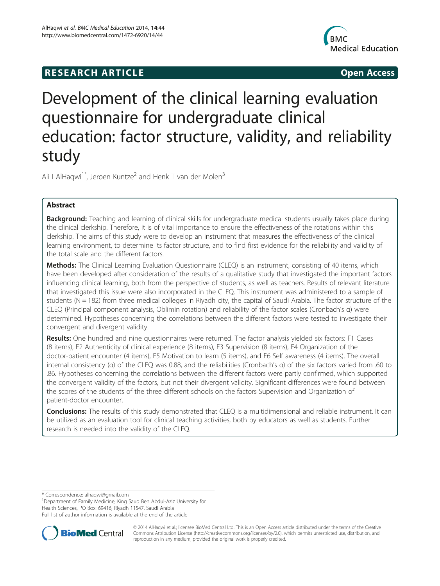# **RESEARCH ARTICLE Example 2014 CONSIDERING CONSIDERING CONSIDERING CONSIDERING CONSIDERING CONSIDERING CONSIDERING CONSIDERING CONSIDERING CONSIDERING CONSIDERING CONSIDERING CONSIDERING CONSIDERING CONSIDERING CONSIDE**



# Development of the clinical learning evaluation questionnaire for undergraduate clinical education: factor structure, validity, and reliability study

Ali I AlHaqwi<sup>1\*</sup>, Jeroen Kuntze<sup>2</sup> and Henk T van der Molen<sup>3</sup>

# Abstract

**Background:** Teaching and learning of clinical skills for undergraduate medical students usually takes place during the clinical clerkship. Therefore, it is of vital importance to ensure the effectiveness of the rotations within this clerkship. The aims of this study were to develop an instrument that measures the effectiveness of the clinical learning environment, to determine its factor structure, and to find first evidence for the reliability and validity of the total scale and the different factors.

Methods: The Clinical Learning Evaluation Questionnaire (CLEQ) is an instrument, consisting of 40 items, which have been developed after consideration of the results of a qualitative study that investigated the important factors influencing clinical learning, both from the perspective of students, as well as teachers. Results of relevant literature that investigated this issue were also incorporated in the CLEQ. This instrument was administered to a sample of students ( $N = 182$ ) from three medical colleges in Riyadh city, the capital of Saudi Arabia. The factor structure of the CLEQ (Principal component analysis, Oblimin rotation) and reliability of the factor scales (Cronbach's α) were determined. Hypotheses concerning the correlations between the different factors were tested to investigate their convergent and divergent validity.

Results: One hundred and nine questionnaires were returned. The factor analysis yielded six factors: F1 Cases (8 items), F2 Authenticity of clinical experience (8 items), F3 Supervision (8 items), F4 Organization of the doctor-patient encounter (4 items), F5 Motivation to learn (5 items), and F6 Self awareness (4 items). The overall internal consistency (α) of the CLEQ was 0.88, and the reliabilities (Cronbach's α) of the six factors varied from .60 to .86. Hypotheses concerning the correlations between the different factors were partly confirmed, which supported the convergent validity of the factors, but not their divergent validity. Significant differences were found between the scores of the students of the three different schools on the factors Supervision and Organization of patient-doctor encounter.

Conclusions: The results of this study demonstrated that CLEQ is a multidimensional and reliable instrument. It can be utilized as an evaluation tool for clinical teaching activities, both by educators as well as students. Further research is needed into the validity of the CLEQ.

\* Correspondence: [alhaqwi@gmail.com](mailto:alhaqwi@gmail.com) <sup>1</sup>

<sup>1</sup>Department of Family Medicine, King Saud Ben Abdul-Aziz University for Health Sciences, PO Box: 69416, Riyadh 11547, Saudi Arabia

Full list of author information is available at the end of the article



© 2014 AlHaqwi et al.; licensee BioMed Central Ltd. This is an Open Access article distributed under the terms of the Creative Commons Attribution License [\(http://creativecommons.org/licenses/by/2.0\)](http://creativecommons.org/licenses/by/2.0), which permits unrestricted use, distribution, and reproduction in any medium, provided the original work is properly credited.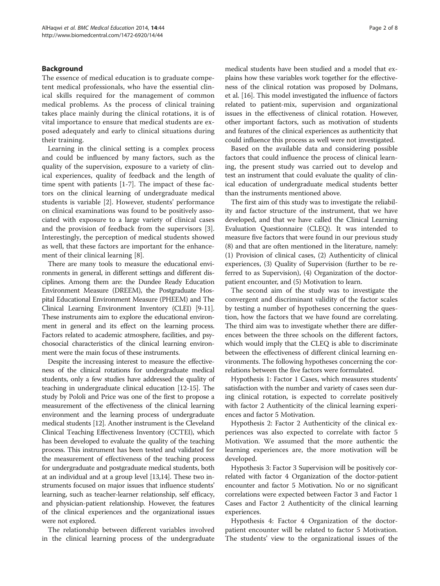# Background

The essence of medical education is to graduate competent medical professionals, who have the essential clinical skills required for the management of common medical problems. As the process of clinical training takes place mainly during the clinical rotations, it is of vital importance to ensure that medical students are exposed adequately and early to clinical situations during their training.

Learning in the clinical setting is a complex process and could be influenced by many factors, such as the quality of the supervision, exposure to a variety of clinical experiences, quality of feedback and the length of time spent with patients [\[1-7](#page-7-0)]. The impact of these factors on the clinical learning of undergraduate medical students is variable [\[2](#page-7-0)]. However, students' performance on clinical examinations was found to be positively associated with exposure to a large variety of clinical cases and the provision of feedback from the supervisors [\[3](#page-7-0)]. Interestingly, the perception of medical students showed as well, that these factors are important for the enhancement of their clinical learning [[8\]](#page-7-0).

There are many tools to measure the educational environments in general, in different settings and different disciplines. Among them are: the Dundee Ready Education Environment Measure (DREEM), the Postgraduate Hospital Educational Environment Measure (PHEEM) and The Clinical Learning Environment Inventory (CLEI) [\[9-11](#page-7-0)]. These instruments aim to explore the educational environment in general and its effect on the learning process. Factors related to academic atmosphere, facilities, and psychosocial characteristics of the clinical learning environment were the main focus of these instruments.

Despite the increasing interest to measure the effectiveness of the clinical rotations for undergraduate medical students, only a few studies have addressed the quality of teaching in undergraduate clinical education [\[12-15\]](#page-7-0). The study by Pololi and Price was one of the first to propose a measurement of the effectiveness of the clinical learning environment and the learning process of undergraduate medical students [[12](#page-7-0)]. Another instrument is the Cleveland Clinical Teaching Effectiveness Inventory (CCTEI), which has been developed to evaluate the quality of the teaching process. This instrument has been tested and validated for the measurement of effectiveness of the teaching process for undergraduate and postgraduate medical students, both at an individual and at a group level [\[13,14](#page-7-0)]. These two instruments focused on major issues that influence students' learning, such as teacher-learner relationship, self efficacy, and physician-patient relationship. However, the features of the clinical experiences and the organizational issues were not explored.

The relationship between different variables involved in the clinical learning process of the undergraduate medical students have been studied and a model that explains how these variables work together for the effectiveness of the clinical rotation was proposed by Dolmans, et al. [[16](#page-7-0)]. This model investigated the influence of factors related to patient-mix, supervision and organizational issues in the effectiveness of clinical rotation. However, other important factors, such as motivation of students and features of the clinical experiences as authenticity that could influence this process as well were not investigated.

Based on the available data and considering possible factors that could influence the process of clinical learning, the present study was carried out to develop and test an instrument that could evaluate the quality of clinical education of undergraduate medical students better than the instruments mentioned above.

The first aim of this study was to investigate the reliability and factor structure of the instrument, that we have developed, and that we have called the Clinical Learning Evaluation Questionnaire (CLEQ). It was intended to measure five factors that were found in our previous study (8) and that are often mentioned in the literature, namely: (1) Provision of clinical cases, (2) Authenticity of clinical experiences, (3) Quality of Supervision (further to be referred to as Supervision), (4) Organization of the doctorpatient encounter, and (5) Motivation to learn.

The second aim of the study was to investigate the convergent and discriminant validity of the factor scales by testing a number of hypotheses concerning the question, how the factors that we have found are correlating. The third aim was to investigate whether there are differences between the three schools on the different factors, which would imply that the CLEQ is able to discriminate between the effectiveness of different clinical learning environments. The following hypotheses concerning the correlations between the five factors were formulated.

Hypothesis 1: Factor 1 Cases, which measures students' satisfaction with the number and variety of cases seen during clinical rotation, is expected to correlate positively with factor 2 Authenticity of the clinical learning experiences and factor 5 Motivation.

Hypothesis 2: Factor 2 Authenticity of the clinical experiences was also expected to correlate with factor 5 Motivation. We assumed that the more authentic the learning experiences are, the more motivation will be developed.

Hypothesis 3: Factor 3 Supervision will be positively correlated with factor 4 Organization of the doctor-patient encounter and factor 5 Motivation. No or no significant correlations were expected between Factor 3 and Factor 1 Cases and Factor 2 Authenticity of the clinical learning experiences.

Hypothesis 4: Factor 4 Organization of the doctorpatient encounter will be related to factor 5 Motivation. The students' view to the organizational issues of the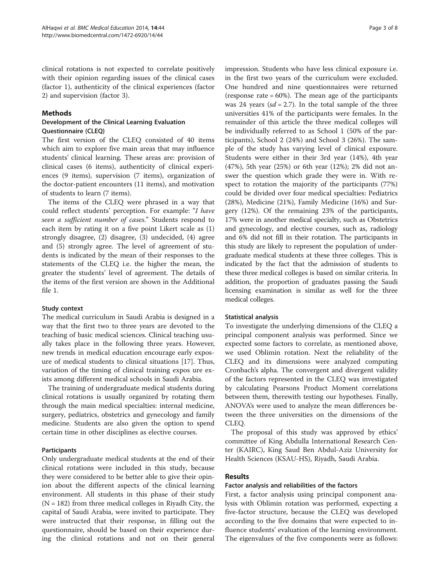clinical rotations is not expected to correlate positively with their opinion regarding issues of the clinical cases (factor 1), authenticity of the clinical experiences (factor 2) and supervision (factor 3).

#### Methods

#### Development of the Clinical Learning Evaluation Questionnaire (CLEQ)

The first version of the CLEQ consisted of 40 items which aim to explore five main areas that may influence students' clinical learning. These areas are: provision of clinical cases (6 items), authenticity of clinical experiences (9 items), supervision (7 items), organization of the doctor-patient encounters (11 items), and motivation of students to learn (7 items).

The items of the CLEQ were phrased in a way that could reflect students' perception. For example: "I have seen a sufficient number of cases." Students respond to each item by rating it on a five point Likert scale as (1) strongly disagree, (2) disagree, (3) undecided, (4) agree and (5) strongly agree. The level of agreement of students is indicated by the mean of their responses to the statements of the CLEQ i.e. the higher the mean, the greater the students' level of agreement. The details of the items of the first version are shown in the Additional file [1.](#page-7-0)

#### Study context

The medical curriculum in Saudi Arabia is designed in a way that the first two to three years are devoted to the teaching of basic medical sciences. Clinical teaching usually takes place in the following three years. However, new trends in medical education encourage early exposure of medical students to clinical situations [[17](#page-7-0)]. Thus, variation of the timing of clinical training expos ure exists among different medical schools in Saudi Arabia.

The training of undergraduate medical students during clinical rotations is usually organized by rotating them through the main medical specialties: internal medicine, surgery, pediatrics, obstetrics and gynecology and family medicine. Students are also given the option to spend certain time in other disciplines as elective courses.

# Participants

Only undergraduate medical students at the end of their clinical rotations were included in this study, because they were considered to be better able to give their opinion about the different aspects of the clinical learning environment. All students in this phase of their study  $(N = 182)$  from three medical colleges in Riyadh City, the capital of Saudi Arabia, were invited to participate. They were instructed that their response, in filling out the questionnaire, should be based on their experience during the clinical rotations and not on their general

impression. Students who have less clinical exposure i.e. in the first two years of the curriculum were excluded. One hundred and nine questionnaires were returned (response rate  $= 60\%$ ). The mean age of the participants was 24 years ( $sd = 2.7$ ). In the total sample of the three universities 41% of the participants were females. In the remainder of this article the three medical colleges will be individually referred to as School 1 (50% of the participants), School 2 (24%) and School 3 (26%). The sample of the study has varying level of clinical exposure. Students were either in their 3rd year (14%), 4th year (47%), 5th year (25%) or 6th year (12%); 2% did not answer the question which grade they were in. With respect to rotation the majority of the participants (77%) could be divided over four medical specialties: Pediatrics (28%), Medicine (21%), Family Medicine (16%) and Surgery (12%). Of the remaining 23% of the participants, 17% were in another medical specialty, such as Obstetrics and gynecology, and elective courses, such as, radiology and 6% did not fill in their rotation. The participants in this study are likely to represent the population of undergraduate medical students at these three colleges. This is indicated by the fact that the admission of students to these three medical colleges is based on similar criteria. In addition, the proportion of graduates passing the Saudi licensing examination is similar as well for the three medical colleges.

# Statistical analysis

To investigate the underlying dimensions of the CLEQ a principal component analysis was performed. Since we expected some factors to correlate, as mentioned above, we used Oblimin rotation. Next the reliability of the CLEQ and its dimensions were analyzed computing Cronbach's alpha. The convergent and divergent validity of the factors represented in the CLEQ was investigated by calculating Pearsons Product Moment correlations between them, therewith testing our hypotheses. Finally, ANOVA's were used to analyze the mean differences between the three universities on the dimensions of the CLEQ.

The proposal of this study was approved by ethics' committee of King Abdulla International Research Center (KAIRC), King Saud Ben Abdul-Aziz University for Health Sciences (KSAU-HS), Riyadh, Saudi Arabia.

# Results

# Factor analysis and reliabilities of the factors

First, a factor analysis using principal component analysis with Oblimin rotation was performed, expecting a five-factor structure, because the CLEQ was developed according to the five domains that were expected to influence students' evaluation of the learning environment. The eigenvalues of the five components were as follows: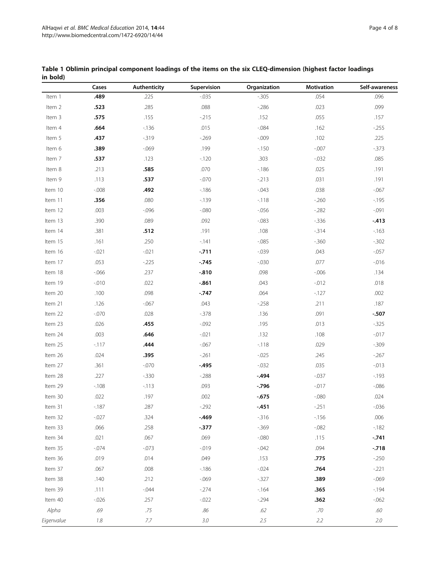|            | Cases    | Authenticity | Supervision | Organization   | Motivation | Self-awareness |  |
|------------|----------|--------------|-------------|----------------|------------|----------------|--|
| Item 1     | .489     | .225         | $-0.035$    | $-0.305$       | .054       | .096           |  |
| Item 2     | .523     | .285         | .088        | $-286$<br>.023 |            | .099           |  |
| Item 3     | .575     | .155         | $-215$      | .152           | .055       | .157           |  |
| Item 4     | .664     | $-136$       | .015        | $-0.084$       | .162       | $-255$         |  |
| Item 5     | .437     | $-319$       | $-269$      | $-0.009$       | .102       |                |  |
| Item 6     | .389     | $-069$       | .199        | $-150$         | $-.007$    |                |  |
| Item 7     | .537     | .123         | $-120$      | .303           | $-0.032$   | .085           |  |
| Item 8     | .213     | .585         | .070        | $-186$         | .025       | .191           |  |
| Item 9     | .113     | .537         | $-0.070$    | $-213$         | .031       | .191           |  |
| Item 10    | $-0.008$ | .492         | $-186$      | $-0.043$       | .038       | $-0.067$       |  |
| Item 11    | .356     | .080         | $-139$      | $-118$         | $-260$     | $-195$         |  |
| Item 12    | .003     | $-0.096$     | $-080$      | $-0.056$       | $-282$     | $-0.091$       |  |
| Item 13    | .390     | .089         | .092        | $-0.083$       | $-336$     | $-413$         |  |
| Item 14    | .381     | .512         | .191        | .108           | $-314$     | $-163$         |  |
| Item 15    | .161     | .250         | $-141$      | $-0.085$       | $-360$     | $-0.302$       |  |
| Item 16    | $-.021$  | $-.021$      | $-711$      | $-0.039$       | .043       | $-0.057$       |  |
| Item 17    | .053     | $-225$       | $-.745$     | $-0.030$       | .077       | $-0.016$       |  |
| Item 18    | $-0.066$ | .237         | $-0.810$    | .098           | $-0.006$   | .134           |  |
| Item 19    | $-0.010$ | .022         | $-0.861$    | .043           | $-0.012$   | .018           |  |
| Item 20    | .100     | .098         | $-.747$     | .064           | $-127$     | .002           |  |
| Item 21    | .126     | $-067$       | .043        | $-258$         | .211       | .187           |  |
| Item 22    | $-.070$  | .028         | $-378$      | .136           | .091       | $-507$         |  |
| Item 23    | .026     | .455         | $-0.092$    | .195           | .013       | $-325$         |  |
| Item 24    | .003     | .646         | $-0.021$    | .132           | .108       | $-.017$        |  |
| Item 25    | $-117$   | .444         | $-067$      | $-118$         | .029       | $-0.309$       |  |
| Item 26    | .024     | .395         | $-261$      | $-0.025$       | .245       | $-267$         |  |
| Item 27    | .361     | $-.070$      | $-495$      | $-0.032$       | .035       | $-.013$        |  |
| Item 28    | .227     | $-0.330$     | $-288$      | $-494$         | $-0.037$   | $-193$         |  |
| Item 29    | $-108$   | $-113$       | .093        | $-796$         | $-0.017$   | $-0.086$       |  |
| Item 30    | .022     | .197         | .002        | $-0.675$       | $-.080$    | .024           |  |
| Item 31    | $-187$   | .287         | $-292$      | $-451$         | $-251$     | $-0.036$       |  |
| Item 32    | $-0.027$ | .324         | $-469$      | $-316$         | $-156$     | .006           |  |
| Item 33    | .066     | .258         | $-377$      | $-0.369$       | $-082$     | $-182$         |  |
| Item 34    | .021     | .067         | .069        | $-.080$        | .115       | $-741$         |  |
| Item 35    | $-0.074$ | $-0.073$     | $-019$      | $-0.042$       | .094       | $-.718$        |  |
| Item 36    | .019     | .014         | .049        | .153           | .775       | $-250$         |  |
| Item 37    | .067     | .008         | $-186$      | $-0.024$       | .764       | $-.221$        |  |
| Item 38    | .140     | .212         | $-069$      | $-327$         | .389       | $-069$         |  |
| Item 39    | .111     | $-0.044$     | $-274$      | $-164$         | .365       | $-194$         |  |
| Item 40    | $-0.026$ | .257         | $-0.022$    | $-294$         | .362       | $-062$         |  |
| Alpha      | .69      | .75          | .86         | .62            | $.70\,$    | .60            |  |
| Eigenvalue | 1.8      | 7.7          | 3.0         | 2.5            | 2.2        | 2.0            |  |

#### <span id="page-3-0"></span>Table 1 Oblimin principal component loadings of the items on the six CLEQ-dimension (highest factor loadings in bold)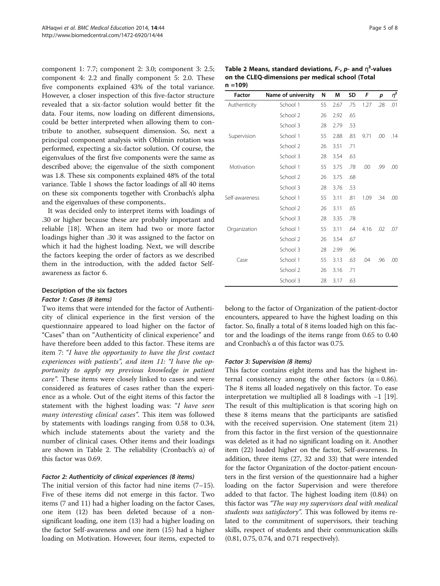<span id="page-4-0"></span>component 1: 7.7; component 2: 3.0; component 3: 2.5; component 4: 2.2 and finally component 5: 2.0. These five components explained 43% of the total variance. However, a closer inspection of this five-factor structure revealed that a six-factor solution would better fit the data. Four items, now loading on different dimensions, could be better interpreted when allowing them to contribute to another, subsequent dimension. So, next a principal component analysis with Oblimin rotation was performed, expecting a six-factor solution. Of course, the eigenvalues of the first five components were the same as described above; the eigenvalue of the sixth component was 1.8. These six components explained 48% of the total variance. Table [1](#page-3-0) shows the factor loadings of all 40 items on these six components together with Cronbach's alpha and the eigenvalues of these components..

It was decided only to interpret items with loadings of .30 or higher because these are probably important and reliable [[18\]](#page-7-0). When an item had two or more factor loadings higher than .30 it was assigned to the factor on which it had the highest loading. Next, we will describe the factors keeping the order of factors as we described them in the introduction, with the added factor Selfawareness as factor 6.

#### Description of the six factors

#### Factor 1: Cases (8 items)

Two items that were intended for the factor of Authenticity of clinical experience in the first version of the questionnaire appeared to load higher on the factor of "Cases" than on "Authenticity of clinical experience" and have therefore been added to this factor. These items are item 7: "I have the opportunity to have the first contact experiences with patients", and item 11: "I have the opportunity to apply my previous knowledge in patient care". These items were closely linked to cases and were considered as features of cases rather than the experience as a whole. Out of the eight items of this factor the statement with the highest loading was: "I have seen many interesting clinical cases". This item was followed by statements with loadings ranging from 0.58 to 0.34, which include statements about the variety and the number of clinical cases. Other items and their loadings are shown in Table 2. The reliability (Cronbach's α) of this factor was 0.69.

#### Factor 2: Authenticity of clinical experiences (8 items)

The initial version of this factor had nine items  $(7-15)$ . Five of these items did not emerge in this factor. Two items (7 and 11) had a higher loading on the factor Cases, one item (12) has been deleted because of a nonsignificant loading, one item (13) had a higher loading on the factor Self-awareness and one item (15) had a higher loading on Motivation. However, four items, expected to

| Table 2 Means, standard deviations, $F-1$ , p- and $\eta2$ -values |
|--------------------------------------------------------------------|
| on the CLEQ-dimensions per medical school (Total                   |
| n =109)                                                            |

| <b>Factor</b>  | Name of university | N  | M    | SD  | F    | p   | $\eta^2$ |
|----------------|--------------------|----|------|-----|------|-----|----------|
| Authenticity   | School 1           | 55 | 2.67 | .75 | 1.27 | .28 | .01      |
|                | School 2           | 26 | 2.92 | .65 |      |     |          |
|                | School 3           | 28 | 2.79 | .53 |      |     |          |
| Supervision    | School 1           | 55 | 2.88 | .83 | 9.71 | .00 | .14      |
|                | School 2           | 26 | 3.51 | .71 |      |     |          |
|                | School 3           | 28 | 3.54 | .63 |      |     |          |
| Motivation     | School 1           | 55 | 3.75 | .78 | .00  | .99 | .00      |
|                | School 2           | 26 | 3.75 | .68 |      |     |          |
|                | School 3           | 28 | 3.76 | .53 |      |     |          |
| Self-awareness | School 1           | 55 | 3.11 | .81 | 1.09 | .34 | .00      |
|                | School 2           | 26 | 3.11 | .65 |      |     |          |
|                | School 3           | 28 | 3.35 | .78 |      |     |          |
| Organization   | School 1           | 55 | 3.11 | .64 | 4.16 | .02 | .07      |
|                | School 2           | 26 | 3.54 | .67 |      |     |          |
|                | School 3           | 28 | 2.99 | .96 |      |     |          |
| Case           | School 1           | 55 | 3.13 | .63 | .04  | .96 | .00      |
|                | School 2           | 26 | 3.16 | .71 |      |     |          |
|                | School 3           | 28 | 3.17 | .63 |      |     |          |

belong to the factor of Organization of the patient-doctor encounters, appeared to have the highest loading on this factor. So, finally a total of 8 items loaded high on this factor and the loadings of the items range from 0.65 to 0.40 and Cronbach's α of this factor was 0.75.

#### Factor 3: Supervision (8 items)

This factor contains eight items and has the highest internal consistency among the other factors ( $\alpha = 0.86$ ). The 8 items all loaded negatively on this factor. To ease interpretation we multiplied all 8 loadings with −1 [\[19](#page-7-0)]. The result of this multiplication is that scoring high on these 8 items means that the participants are satisfied with the received supervision. One statement (item 21) from this factor in the first version of the questionnaire was deleted as it had no significant loading on it. Another item (22) loaded higher on the factor, Self-awareness. In addition, three items (27, 32 and 33) that were intended for the factor Organization of the doctor-patient encounters in the first version of the questionnaire had a higher loading on the factor Supervision and were therefore added to that factor. The highest loading item (0.84) on this factor was "The way my supervisors deal with medical students was satisfactory". This was followed by items related to the commitment of supervisors, their teaching skills, respect of students and their communication skills (0.81, 0.75, 0.74, and 0.71 respectively).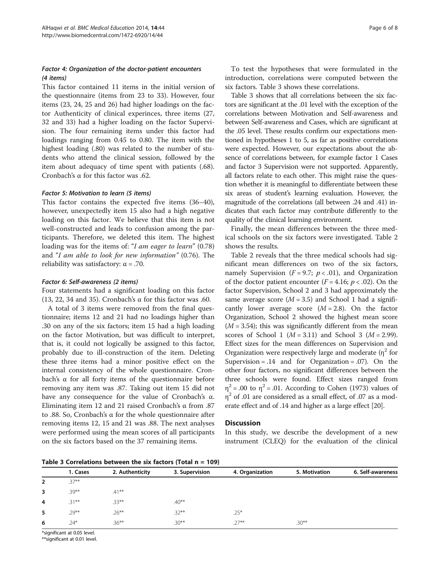# Factor 4: Organization of the doctor-patient encounters (4 items)

This factor contained 11 items in the initial version of the questionnaire (items from 23 to 33). However, four items (23, 24, 25 and 26) had higher loadings on the factor Authenticity of clinical experinces, three items (27, 32 and 33) had a higher loading on the factor Supervision. The four remaining items under this factor had loadings ranging from 0.45 to 0.80. The item with the highest loading (.80) was related to the number of students who attend the clinical session, followed by the item about adequacy of time spent with patients (.68). Cronbach's α for this factor was .62.

#### Factor 5: Motivation to learn (5 items)

This factor contains the expected five items (36–40), however, unexpectedly item 15 also had a high negative loading on this factor. We believe that this item is not well-constructed and leads to confusion among the participants. Therefore, we deleted this item. The highest loading was for the items of: "I am eager to learn" (0.78) and "I am able to look for new information" (0.76). The reliability was satisfactory:  $\alpha$  = .70.

#### Factor 6: Self-awareness (2 items)

Four statements had a significant loading on this factor (13, 22, 34 and 35). Cronbach's  $\alpha$  for this factor was .60.

A total of 3 items were removed from the final questionnaire; items 12 and 21 had no loadings higher than .30 on any of the six factors; item 15 had a high loading on the factor Motivation, but was difficult to interpret, that is, it could not logically be assigned to this factor, probably due to ill-construction of the item. Deleting these three items had a minor positive effect on the internal consistency of the whole questionnaire. Cronbach's α for all forty items of the questionnaire before removing any item was .87. Taking out item 15 did not have any consequence for the value of Cronbach's α. Eliminating item 12 and 21 raised Cronbach's α from .87 to .88. So, Cronbach's α for the whole questionnaire after removing items 12, 15 and 21 was .88. The next analyses were performed using the mean scores of all participants on the six factors based on the 37 remaining items.

To test the hypotheses that were formulated in the introduction, correlations were computed between the six factors. Table 3 shows these correlations.

Table 3 shows that all correlations between the six factors are significant at the .01 level with the exception of the correlations between Motivation and Self-awareness and between Self-awareness and Cases, which are significant at the .05 level. These results confirm our expectations mentioned in hypotheses 1 to 5, as far as positive correlations were expected. However, our expectations about the absence of correlations between, for example factor 1 Cases and factor 3 Supervision were not supported. Apparently, all factors relate to each other. This might raise the question whether it is meaningful to differentiate between these six areas of student's learning evaluation. However, the magnitude of the correlations (all between .24 and .41) indicates that each factor may contribute differently to the quality of the clinical learning environment.

Finally, the mean differences between the three medical schools on the six factors were investigated. Table [2](#page-4-0) shows the results.

Table [2](#page-4-0) reveals that the three medical schools had significant mean differences on two of the six factors, namely Supervision ( $F = 9.7$ ;  $p < .01$ ), and Organization of the doctor patient encounter ( $F = 4.16$ ;  $p < .02$ ). On the factor Supervision, School 2 and 3 had approximately the same average score ( $M = 3.5$ ) and School 1 had a significantly lower average score  $(M = 2.8)$ . On the factor Organization, School 2 showed the highest mean score  $(M = 3.54)$ ; this was significantly different from the mean scores of School 1 ( $M = 3.11$ ) and School 3 ( $M = 2.99$ ). Effect sizes for the mean differences on Supervision and Organization were respectively large and moderate  $(\eta^2$  for Supervision =  $.14$  and for Organization =  $.07$ ). On the other four factors, no significant differences between the three schools were found. Effect sizes ranged from  $\eta^2$  = .00 to  $\eta^2$  = .01. According to Cohen (1973) values of  $\eta^2$  of .01 are considered as a small effect, of .07 as a moderate effect and of .14 and higher as a large effect [\[20\]](#page-7-0).

#### **Discussion**

In this study, we describe the development of a new instrument (CLEQ) for the evaluation of the clinical

Table 3 Correlations between the six factors (Total  $n = 109$ )

|          |                 | . .            |                 |               |                   |
|----------|-----------------|----------------|-----------------|---------------|-------------------|
| 1. Cases | 2. Authenticity | 3. Supervision | 4. Organization | 5. Motivation | 6. Self-awareness |
| $.37**$  |                 |                |                 |               |                   |
| $.39***$ | $.41***$        |                |                 |               |                   |
| $.31***$ | $.33***$        | $.40***$       |                 |               |                   |
| $.29***$ | $.26***$        | $.32***$       | $.25*$          |               |                   |
| $.24*$   | $.36***$        | $.30***$       | $.27***$        | $.30**$       |                   |
|          |                 |                |                 |               |                   |

\*significant at 0.05 level.

\*\*significant at 0.01 level.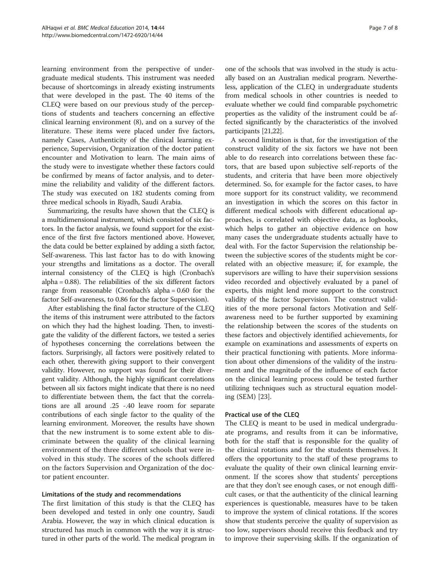learning environment from the perspective of undergraduate medical students. This instrument was needed because of shortcomings in already existing instruments that were developed in the past. The 40 items of the CLEQ were based on our previous study of the perceptions of students and teachers concerning an effective clinical learning environment (8), and on a survey of the literature. These items were placed under five factors, namely Cases, Authenticity of the clinical learning experience, Supervision, Organization of the doctor patient encounter and Motivation to learn. The main aims of the study were to investigate whether these factors could be confirmed by means of factor analysis, and to determine the reliability and validity of the different factors. The study was executed on 182 students coming from three medical schools in Riyadh, Saudi Arabia.

Summarizing, the results have shown that the CLEQ is a multidimensional instrument, which consisted of six factors. In the factor analysis, we found support for the existence of the first five factors mentioned above. However, the data could be better explained by adding a sixth factor, Self-awareness. This last factor has to do with knowing your strengths and limitations as a doctor. The overall internal consistency of the CLEQ is high (Cronbach's alpha = 0.88). The reliabilities of the six different factors range from reasonable (Cronbach's alpha = 0.60 for the factor Self-awareness, to 0.86 for the factor Supervision).

After establishing the final factor structure of the CLEQ the items of this instrument were attributed to the factors on which they had the highest loading. Then, to investigate the validity of the different factors, we tested a series of hypotheses concerning the correlations between the factors. Surprisingly, all factors were positively related to each other, therewith giving support to their convergent validity. However, no support was found for their divergent validity. Although, the highly significant correlations between all six factors might indicate that there is no need to differentiate between them, the fact that the correlations are all around .25 -.40 leave room for separate contributions of each single factor to the quality of the learning environment. Moreover, the results have shown that the new instrument is to some extent able to discriminate between the quality of the clinical learning environment of the three different schools that were involved in this study. The scores of the schools differed on the factors Supervision and Organization of the doctor patient encounter.

# Limitations of the study and recommendations

The first limitation of this study is that the CLEQ has been developed and tested in only one country, Saudi Arabia. However, the way in which clinical education is structured has much in common with the way it is structured in other parts of the world. The medical program in

one of the schools that was involved in the study is actually based on an Australian medical program. Nevertheless, application of the CLEQ in undergraduate students from medical schools in other countries is needed to evaluate whether we could find comparable psychometric properties as the validity of the instrument could be affected significantly by the characteristics of the involved participants [\[21,22\]](#page-7-0).

A second limitation is that, for the investigation of the construct validity of the six factors we have not been able to do research into correlations between these factors, that are based upon subjective self-reports of the students, and criteria that have been more objectively determined. So, for example for the factor cases, to have more support for its construct validity, we recommend an investigation in which the scores on this factor in different medical schools with different educational approaches, is correlated with objective data, as logbooks, which helps to gather an objective evidence on how many cases the undergraduate students actually have to deal with. For the factor Supervision the relationship between the subjective scores of the students might be correlated with an objective measure; if, for example, the supervisors are willing to have their supervision sessions video recorded and objectively evaluated by a panel of experts, this might lend more support to the construct validity of the factor Supervision. The construct validities of the more personal factors Motivation and Selfawareness need to be further supported by examining the relationship between the scores of the students on these factors and objectively identified achievements, for example on examinations and assessments of experts on their practical functioning with patients. More information about other dimensions of the validity of the instrument and the magnitude of the influence of each factor on the clinical learning process could be tested further utilizing techniques such as structural equation modeling (SEM) [[23](#page-7-0)].

# Practical use of the CLEQ

The CLEQ is meant to be used in medical undergraduate programs, and results from it can be informative, both for the staff that is responsible for the quality of the clinical rotations and for the students themselves. It offers the opportunity to the staff of these programs to evaluate the quality of their own clinical learning environment. If the scores show that students' perceptions are that they don't see enough cases, or not enough difficult cases, or that the authenticity of the clinical learning experiences is questionable, measures have to be taken to improve the system of clinical rotations. If the scores show that students perceive the quality of supervision as too low, supervisors should receive this feedback and try to improve their supervising skills. If the organization of